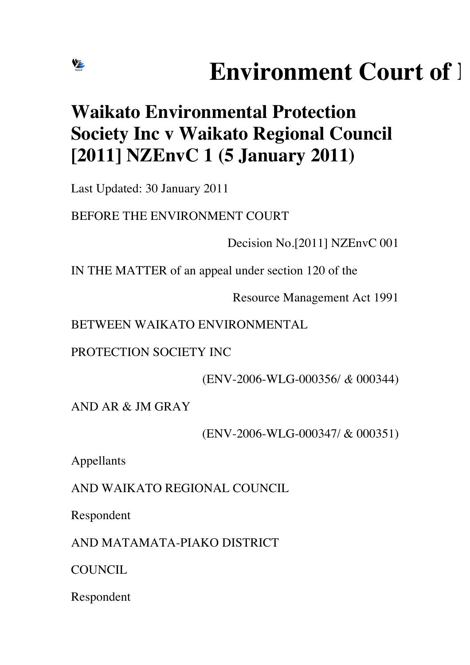# **Environment Court of 1**

## **Waikato Environmental Protection Society Inc v Waikato Regional Council [2011] NZEnvC 1 (5 January 2011)**

Last Updated: 30 January 2011

**VE** 

BEFORE THE ENVIRONMENT COURT

Decision No.[2011] NZEnvC 001

IN THE MATTER of an appeal under section 120 of the

Resource Management Act 1991

BETWEEN WAIKATO ENVIRONMENTAL

PROTECTION SOCIETY INC

(ENV-2006-WLG-000356/ *&* 000344)

AND AR & JM GRAY

(ENV-2006-WLG-000347/ & 000351)

Appellants

AND WAIKATO REGIONAL COUNCIL

Respondent

AND MATAMATA-PIAKO DISTRICT

COUNCIL.

Respondent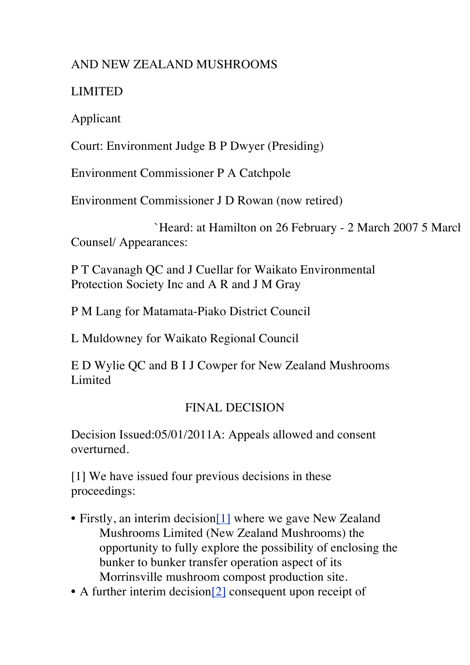#### AND NEW ZEALAND MUSHROOMS

#### LIMITED

Applicant

Court: Environment Judge B P Dwyer (Presiding)

Environment Commissioner P A Catchpole

Environment Commissioner J D Rowan (now retired)

`Heard: at Hamilton on 26 February - 2 March 2007 5 March Counsel/ Appearances:

P T Cavanagh QC and J Cuellar for Waikato Environmental Protection Society Inc and A R and J M Gray

P M Lang for Matamata-Piako District Council

L Muldowney for Waikato Regional Council

E D Wylie QC and B I J Cowper for New Zealand Mushrooms Limited

### FINAL DECISION

Decision Issued:05/01/2011A: Appeals allowed and consent overturned.

[1] We have issued four previous decisions in these proceedings:

- Firstly, an interim decision[1] where we gave New Zealand Mushrooms Limited (New Zealand Mushrooms) the opportunity to fully explore the possibility of enclosing the bunker to bunker transfer operation aspect of its Morrinsville mushroom compost production site.
- A further interim decision<sup>[2]</sup> consequent upon receipt of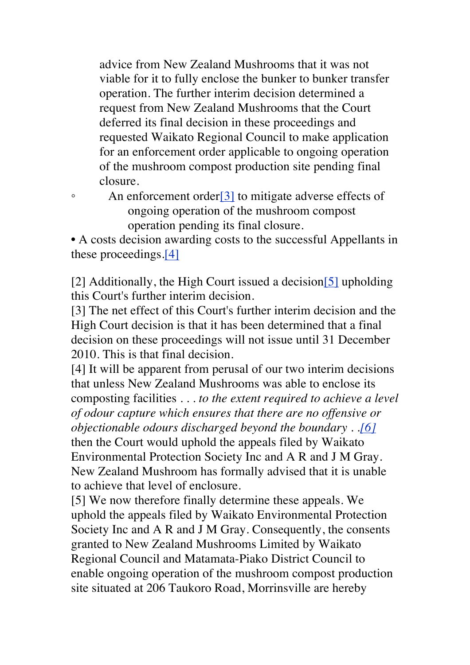advice from New Zealand Mushrooms that it was not viable for it to fully enclose the bunker to bunker transfer operation. The further interim decision determined a request from New Zealand Mushrooms that the Court deferred its final decision in these proceedings and requested Waikato Regional Council to make application for an enforcement order applicable to ongoing operation of the mushroom compost production site pending final closure.

• An enforcement order<sup>[3]</sup> to mitigate adverse effects of ongoing operation of the mushroom compost operation pending its final closure.

• A costs decision awarding costs to the successful Appellants in these proceedings.[4]

[2] Additionally, the High Court issued a decision[5] upholding this Court's further interim decision.

[3] The net effect of this Court's further interim decision and the High Court decision is that it has been determined that a final decision on these proceedings will not issue until 31 December 2010. This is that final decision.

[4] It will be apparent from perusal of our two interim decisions that unless New Zealand Mushrooms was able to enclose its composting facilities . . . *to the extent required to achieve a level of odour capture which ensures that there are no offensive or objectionable odours discharged beyond the boundary . .[6]* then the Court would uphold the appeals filed by Waikato Environmental Protection Society Inc and A R and J M Gray. New Zealand Mushroom has formally advised that it is unable to achieve that level of enclosure.

[5] We now therefore finally determine these appeals. We uphold the appeals filed by Waikato Environmental Protection Society Inc and A R and J M Gray. Consequently, the consents granted to New Zealand Mushrooms Limited by Waikato Regional Council and Matamata-Piako District Council to enable ongoing operation of the mushroom compost production site situated at 206 Taukoro Road, Morrinsville are hereby